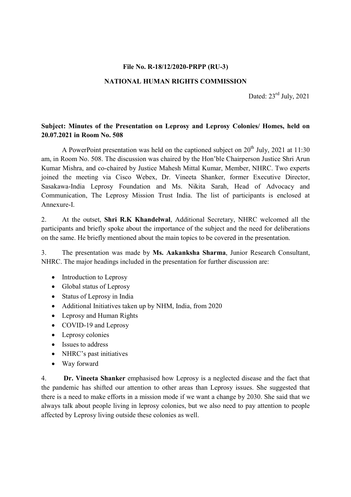### File No. R-18/12/2020-PRPP (RU-3)

## NATIONAL HUMAN RIGHTS COMMISSION

Dated:  $23<sup>rd</sup>$  July, 2021

# Subject: Minutes of the Presentation on Leprosy and Leprosy Colonies/ Homes, held on 20.07.2021 in Room No. 508

A PowerPoint presentation was held on the captioned subject on  $20<sup>th</sup>$  July, 2021 at 11:30 am, in Room No. 508. The discussion was chaired by the Hon'ble Chairperson Justice Shri Arun Kumar Mishra, and co-chaired by Justice Mahesh Mittal Kumar, Member, NHRC. Two experts joined the meeting via Cisco Webex, Dr. Vineeta Shanker, former Executive Director, Sasakawa-India Leprosy Foundation and Ms. Nikita Sarah, Head of Advocacy and Communication, The Leprosy Mission Trust India. The list of participants is enclosed at Annexure-I.

2. At the outset, Shri R.K Khandelwal, Additional Secretary, NHRC welcomed all the participants and briefly spoke about the importance of the subject and the need for deliberations on the same. He briefly mentioned about the main topics to be covered in the presentation.

3. The presentation was made by Ms. Aakanksha Sharma, Junior Research Consultant, NHRC. The major headings included in the presentation for further discussion are:

- Introduction to Leprosy
- Global status of Leprosy
- Status of Leprosy in India
- Additional Initiatives taken up by NHM, India, from 2020
- Leprosy and Human Rights
- COVID-19 and Leprosy
- Leprosy colonies
- Issues to address
- NHRC's past initiatives
- Way forward

4. Dr. Vineeta Shanker emphasised how Leprosy is a neglected disease and the fact that the pandemic has shifted our attention to other areas than Leprosy issues. She suggested that there is a need to make efforts in a mission mode if we want a change by 2030. She said that we always talk about people living in leprosy colonies, but we also need to pay attention to people affected by Leprosy living outside these colonies as well.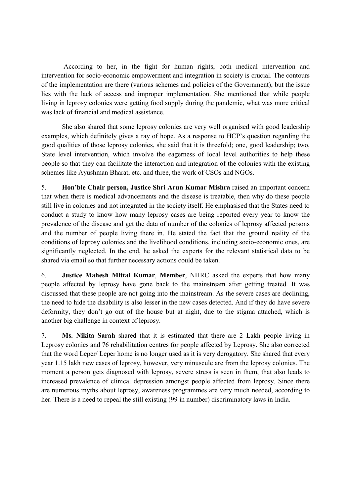According to her, in the fight for human rights, both medical intervention and intervention for socio-economic empowerment and integration in society is crucial. The contours of the implementation are there (various schemes and policies of the Government), but the issue lies with the lack of access and improper implementation. She mentioned that while people living in leprosy colonies were getting food supply during the pandemic, what was more critical was lack of financial and medical assistance.

 She also shared that some leprosy colonies are very well organised with good leadership examples, which definitely gives a ray of hope. As a response to HCP's question regarding the good qualities of those leprosy colonies, she said that it is threefold; one, good leadership; two, State level intervention, which involve the eagerness of local level authorities to help these people so that they can facilitate the interaction and integration of the colonies with the existing schemes like Ayushman Bharat, etc. and three, the work of CSOs and NGOs.

5. Hon'ble Chair person, Justice Shri Arun Kumar Mishra raised an important concern that when there is medical advancements and the disease is treatable, then why do these people still live in colonies and not integrated in the society itself. He emphasised that the States need to conduct a study to know how many leprosy cases are being reported every year to know the prevalence of the disease and get the data of number of the colonies of leprosy affected persons and the number of people living there in. He stated the fact that the ground reality of the conditions of leprosy colonies and the livelihood conditions, including socio-economic ones, are significantly neglected. In the end, he asked the experts for the relevant statistical data to be shared via email so that further necessary actions could be taken.

6. Justice Mahesh Mittal Kumar, Member, NHRC asked the experts that how many people affected by leprosy have gone back to the mainstream after getting treated. It was discussed that these people are not going into the mainstream. As the severe cases are declining, the need to hide the disability is also lesser in the new cases detected. And if they do have severe deformity, they don't go out of the house but at night, due to the stigma attached, which is another big challenge in context of leprosy.

7. Ms. Nikita Sarah shared that it is estimated that there are 2 Lakh people living in Leprosy colonies and 76 rehabilitation centres for people affected by Leprosy. She also corrected that the word Leper/ Leper home is no longer used as it is very derogatory. She shared that every year 1.15 lakh new cases of leprosy, however, very minuscule are from the leprosy colonies. The moment a person gets diagnosed with leprosy, severe stress is seen in them, that also leads to increased prevalence of clinical depression amongst people affected from leprosy. Since there are numerous myths about leprosy, awareness programmes are very much needed, according to her. There is a need to repeal the still existing (99 in number) discriminatory laws in India.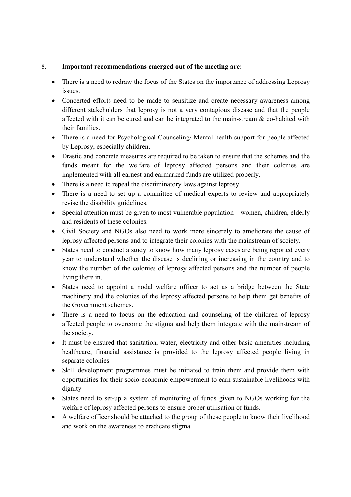## 8. Important recommendations emerged out of the meeting are:

- There is a need to redraw the focus of the States on the importance of addressing Leprosy issues.
- Concerted efforts need to be made to sensitize and create necessary awareness among different stakeholders that leprosy is not a very contagious disease and that the people affected with it can be cured and can be integrated to the main-stream & co-habited with their families.
- There is a need for Psychological Counseling/ Mental health support for people affected by Leprosy, especially children.
- Drastic and concrete measures are required to be taken to ensure that the schemes and the funds meant for the welfare of leprosy affected persons and their colonies are implemented with all earnest and earmarked funds are utilized properly.
- There is a need to repeal the discriminatory laws against leprosy.
- There is a need to set up a committee of medical experts to review and appropriately revise the disability guidelines.
- Special attention must be given to most vulnerable population women, children, elderly and residents of these colonies.
- Civil Society and NGOs also need to work more sincerely to ameliorate the cause of leprosy affected persons and to integrate their colonies with the mainstream of society.
- States need to conduct a study to know how many leprosy cases are being reported every year to understand whether the disease is declining or increasing in the country and to know the number of the colonies of leprosy affected persons and the number of people living there in.
- States need to appoint a nodal welfare officer to act as a bridge between the State machinery and the colonies of the leprosy affected persons to help them get benefits of the Government schemes.
- There is a need to focus on the education and counseling of the children of leprosy affected people to overcome the stigma and help them integrate with the mainstream of the society.
- It must be ensured that sanitation, water, electricity and other basic amenities including healthcare, financial assistance is provided to the leprosy affected people living in separate colonies.
- Skill development programmes must be initiated to train them and provide them with opportunities for their socio-economic empowerment to earn sustainable livelihoods with dignity
- States need to set-up a system of monitoring of funds given to NGOs working for the welfare of leprosy affected persons to ensure proper utilisation of funds.
- A welfare officer should be attached to the group of these people to know their livelihood and work on the awareness to eradicate stigma.